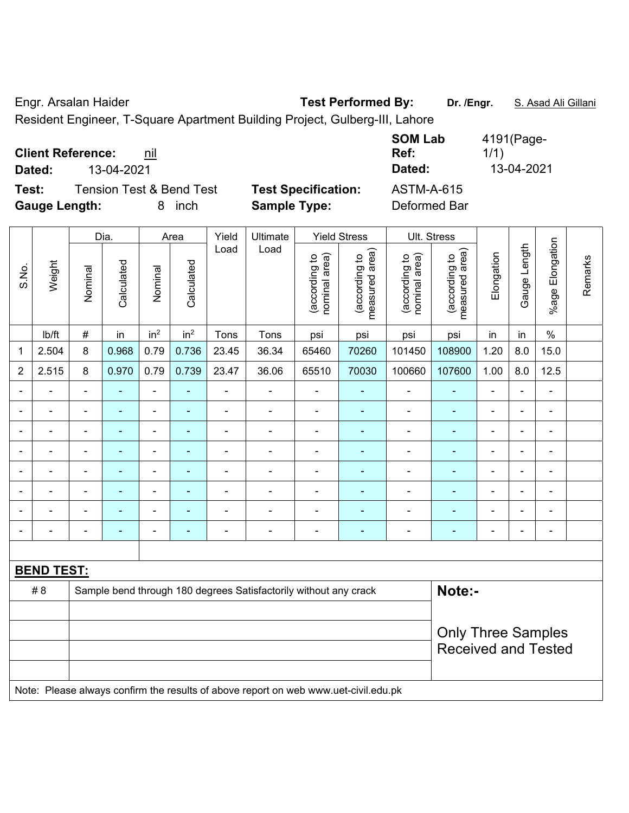Engr. Arsalan Haider **Test Performed By: Dr. /Engr.** S. Asad Ali Gillani Resident Engineer, T-Square Apartment Building Project, Gulberg-III, Lahore

**Client Reference: nil SOM Lab Ref:**  4191(Page-1/1) **Dated:** 13-04-2021 **Dated:** 13-04-2021

 $\top$ 

 $\top$ 

**Test:** Tension Test & Bend Test **Test Specification:** ASTM-A-615 **Gauge Length:** 8 inch **Sample Type:** Deformed Bar

 $\overline{\phantom{a}}$ 

 $\overline{\phantom{a}}$ 

| fication: | <b>ASTM</b> |
|-----------|-------------|
| pe:       | Defor       |

 $\top$ 

|                |                   |                | Dia.           |                              | Area                     | Yield          |                                                                                     | Ult. Stress                    |                                             |                                |                                 |                |                |                       |         |
|----------------|-------------------|----------------|----------------|------------------------------|--------------------------|----------------|-------------------------------------------------------------------------------------|--------------------------------|---------------------------------------------|--------------------------------|---------------------------------|----------------|----------------|-----------------------|---------|
| S.No.          | Weight            | Nominal        | Calculated     | Nominal                      | Calculated               | Load           | Load                                                                                | (according to<br>nominal area) | (according to<br>measured area)<br>measured | (according to<br>nominal area) | (according to<br>measured area) | Elongation     | Gauge Length   | Elongation<br>$%$ age | Remarks |
|                | lb/ft             | $\#$           | in             | in <sup>2</sup>              | in <sup>2</sup>          | Tons           | Tons                                                                                | psi                            | psi                                         | psi                            | psi                             | in             | in             | $\%$                  |         |
| 1              | 2.504             | 8              | 0.968          | 0.79                         | 0.736                    | 23.45          | 36.34                                                                               | 65460                          | 70260                                       | 101450                         | 108900                          | 1.20           | 8.0            | 15.0                  |         |
| $\overline{2}$ | 2.515             | 8              | 0.970          | 0.79                         | 0.739                    | 23.47          | 36.06                                                                               | 65510                          | 70030                                       | 100660                         | 107600                          | 1.00           | 8.0            | 12.5                  |         |
|                |                   | $\blacksquare$ | $\blacksquare$ | $\qquad \qquad \blacksquare$ | $\overline{\phantom{a}}$ | $\blacksquare$ | ÷,                                                                                  | $\blacksquare$                 |                                             | $\blacksquare$                 | $\blacksquare$                  | $\blacksquare$ |                | $\blacksquare$        |         |
|                |                   | $\blacksquare$ | $\blacksquare$ | $\qquad \qquad \blacksquare$ | $\blacksquare$           | $\blacksquare$ | ÷,                                                                                  | $\blacksquare$                 | ÷                                           | $\blacksquare$                 | $\blacksquare$                  | $\blacksquare$ |                | $\blacksquare$        |         |
| ۰              |                   |                |                | $\blacksquare$               |                          |                | $\blacksquare$                                                                      |                                |                                             | ä,                             |                                 |                |                | $\blacksquare$        |         |
| ۰              |                   |                |                | ÷                            |                          | $\blacksquare$ | $\blacksquare$                                                                      |                                |                                             | $\blacksquare$                 | ٠                               |                |                | $\blacksquare$        |         |
| $\blacksquare$ | $\blacksquare$    | $\blacksquare$ | ä,             | ÷                            | $\blacksquare$           | $\overline{a}$ | $\overline{\phantom{a}}$                                                            | $\blacksquare$                 | $\blacksquare$                              | ä,                             | ÷                               | $\blacksquare$ | $\blacksquare$ | $\blacksquare$        |         |
|                |                   | $\blacksquare$ | ä,             | $\overline{\phantom{0}}$     | $\overline{\phantom{a}}$ | ÷              | ÷                                                                                   | $\blacksquare$                 | ÷                                           | $\blacksquare$                 | ÷                               |                |                | $\blacksquare$        |         |
|                |                   |                |                | $\blacksquare$               | $\overline{\phantom{a}}$ |                | ÷                                                                                   |                                |                                             | L,                             | $\blacksquare$                  |                |                | ä,                    |         |
| ۰              |                   | $\blacksquare$ |                | ۰                            | $\blacksquare$           | $\overline{a}$ | ÷                                                                                   |                                |                                             | Ē,                             |                                 |                |                | $\blacksquare$        |         |
|                |                   |                |                |                              |                          |                |                                                                                     |                                |                                             |                                |                                 |                |                |                       |         |
|                | <b>BEND TEST:</b> |                |                |                              |                          |                |                                                                                     |                                |                                             |                                |                                 |                |                |                       |         |
|                | #8                |                |                |                              |                          |                | Sample bend through 180 degrees Satisfactorily without any crack                    |                                |                                             |                                | Note:-                          |                |                |                       |         |
|                |                   |                |                |                              |                          |                |                                                                                     |                                |                                             |                                |                                 |                |                |                       |         |
|                |                   |                |                |                              |                          |                |                                                                                     |                                |                                             |                                | <b>Only Three Samples</b>       |                |                |                       |         |
|                |                   |                |                |                              |                          |                | <b>Received and Tested</b>                                                          |                                |                                             |                                |                                 |                |                |                       |         |
|                |                   |                |                |                              |                          |                |                                                                                     |                                |                                             |                                |                                 |                |                |                       |         |
|                |                   |                |                |                              |                          |                | Note: Please always confirm the results of above report on web www.uet-civil.edu.pk |                                |                                             |                                |                                 |                |                |                       |         |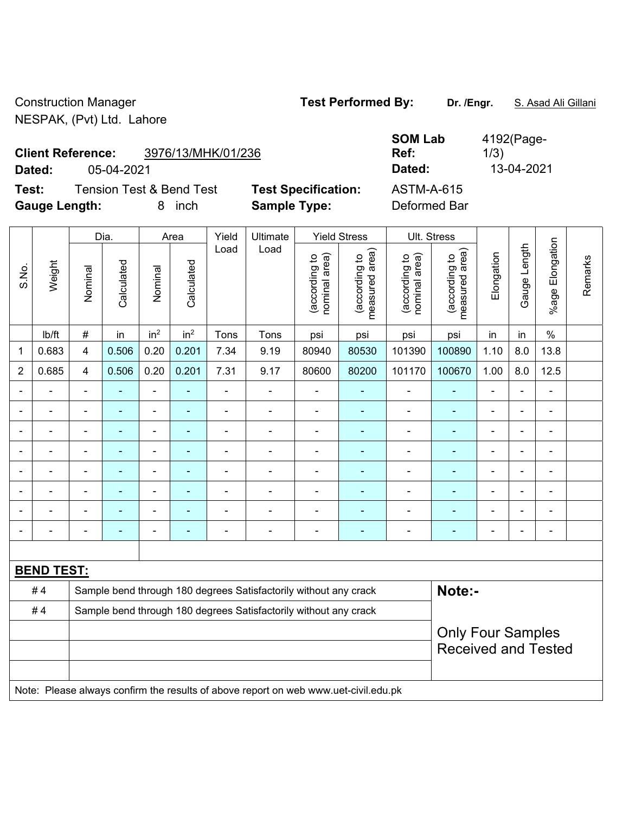Construction Manager **Test Performed By:** Dr. /Engr. **S. Asad Ali Gillani** NESPAK, (Pvt) Ltd. Lahore

| <b>Client Reference:</b> | 3976/13/MHK/01/236 |
|--------------------------|--------------------|
|--------------------------|--------------------|

**Test:** Tension Test & Bend Test **Test Specification: Gauge Length:** 8 inch **Sample Type:** Deformed Bar

|        | <b>Client Reference:</b>            | 3976/13/MHK/01/236         | <b>SOM Lab</b><br>Ref: | 4192(Page-<br>1/3) |
|--------|-------------------------------------|----------------------------|------------------------|--------------------|
| Dated: | 05-04-2021                          |                            | Dated:                 | 13-04-2021         |
| Test:  | <b>Tension Test &amp; Bend Test</b> | <b>Test Specification:</b> | ASTM-A-615             |                    |

|                |                   |                                                                  | Dia.           |                          | Area            | Yield          | Ultimate                                                                            |                                | <b>Yield Stress</b>             |                                | Ult. Stress                     |                              |                |                    |         |
|----------------|-------------------|------------------------------------------------------------------|----------------|--------------------------|-----------------|----------------|-------------------------------------------------------------------------------------|--------------------------------|---------------------------------|--------------------------------|---------------------------------|------------------------------|----------------|--------------------|---------|
| S.No.          | Weight            | Nominal                                                          | Calculated     | Nominal                  | Calculated      | Load           | Load                                                                                | nominal area)<br>(according to | (according to<br>measured area) | nominal area)<br>(according to | (according to<br>measured area) | Elongation                   | Gauge Length   | Elongation<br>%age | Remarks |
|                | Ib/ft             | $\#$                                                             | in             | in <sup>2</sup>          | in <sup>2</sup> | Tons           | Tons                                                                                | psi                            | psi                             | psi                            | psi                             | in                           | in             | $\%$               |         |
| 1              | 0.683             | $\overline{\mathbf{4}}$                                          | 0.506          | 0.20                     | 0.201           | 7.34           | 9.19                                                                                | 80940                          | 80530                           | 101390                         | 100890                          | 1.10                         | 8.0            | 13.8               |         |
| $\overline{2}$ | 0.685             | $\overline{4}$                                                   | 0.506          | 0.20                     | 0.201           | 7.31           | 9.17                                                                                | 80600                          | 80200                           | 101170                         | 100670                          | 1.00                         | 8.0            | 12.5               |         |
|                |                   |                                                                  |                | ä,                       |                 |                | ä,                                                                                  | ä,                             |                                 |                                |                                 |                              |                |                    |         |
| $\blacksquare$ |                   | $\blacksquare$                                                   | $\blacksquare$ | $\overline{\phantom{0}}$ | $\blacksquare$  | ä,             | $\blacksquare$                                                                      | $\blacksquare$                 | $\blacksquare$                  | $\overline{a}$                 | $\blacksquare$                  | ÷                            | Ξ.             | $\blacksquare$     |         |
|                |                   | $\blacksquare$                                                   | $\blacksquare$ | ÷                        | ٠               | ä,             | $\overline{\phantom{0}}$                                                            | $\blacksquare$                 | ٠                               | $\blacksquare$                 | $\blacksquare$                  | $\qquad \qquad \blacksquare$ | $\blacksquare$ | $\blacksquare$     |         |
|                |                   |                                                                  | ٠              | ÷,                       | ۰               | $\blacksquare$ | $\blacksquare$                                                                      | -                              | ۰                               | $\blacksquare$                 | $\blacksquare$                  | $\blacksquare$               | ä,             | $\blacksquare$     |         |
|                | $\blacksquare$    | $\blacksquare$                                                   | $\blacksquare$ | ÷,                       | ۰               | $\blacksquare$ | $\blacksquare$                                                                      | $\blacksquare$                 | ۰                               | $\blacksquare$                 | $\blacksquare$                  | $\blacksquare$               | $\blacksquare$ | ÷                  |         |
|                | $\blacksquare$    |                                                                  |                | ÷,                       | ÷               | ä,             | ä,                                                                                  | $\blacksquare$                 | ۰                               | ÷                              | ä,                              | ä,                           |                | ÷                  |         |
|                |                   |                                                                  |                | L,                       |                 |                |                                                                                     |                                |                                 |                                |                                 | $\blacksquare$               |                |                    |         |
|                |                   |                                                                  |                |                          |                 |                | Ē,                                                                                  | -                              |                                 |                                |                                 |                              |                | ÷                  |         |
|                |                   |                                                                  |                |                          |                 |                |                                                                                     |                                |                                 |                                |                                 |                              |                |                    |         |
|                | <b>BEND TEST:</b> |                                                                  |                |                          |                 |                |                                                                                     |                                |                                 |                                |                                 |                              |                |                    |         |
|                | #4                |                                                                  |                |                          |                 |                | Sample bend through 180 degrees Satisfactorily without any crack                    |                                |                                 |                                | Note:-                          |                              |                |                    |         |
|                | #4                | Sample bend through 180 degrees Satisfactorily without any crack |                |                          |                 |                |                                                                                     |                                |                                 |                                |                                 |                              |                |                    |         |
|                |                   | <b>Only Four Samples</b>                                         |                |                          |                 |                |                                                                                     |                                |                                 |                                |                                 |                              |                |                    |         |
|                |                   |                                                                  |                |                          |                 |                |                                                                                     |                                |                                 |                                | <b>Received and Tested</b>      |                              |                |                    |         |
|                |                   |                                                                  |                |                          |                 |                |                                                                                     |                                |                                 |                                |                                 |                              |                |                    |         |
|                |                   |                                                                  |                |                          |                 |                | Note: Please always confirm the results of above report on web www.uet-civil.edu.pk |                                |                                 |                                |                                 |                              |                |                    |         |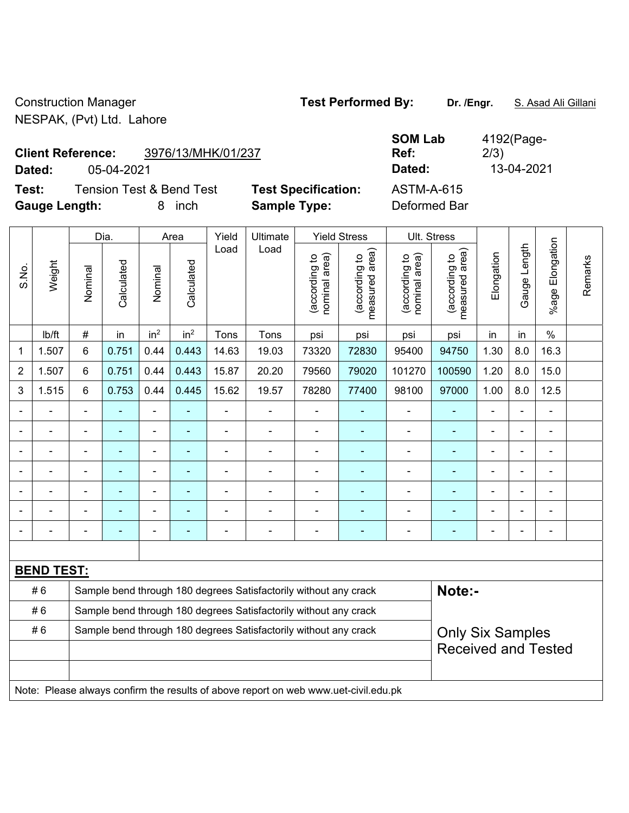Construction Manager **Test Performed By:** Dr. /Engr. **S. Asad Ali Gillani** NESPAK, (Pvt) Ltd. Lahore

## **Client Reference:** 3976/13/MHK/01/237

**Test:** Tension Test & Bend Test **Test Specification: Gauge Length:** 8 inch **Sample Type:** Deformed Bar

|        | <b>Client Reference:</b> | 3976/13/MHK/01/237       |                            | <b>SOM Lab</b><br>Ref: | 4192(Page-<br>2/3) |
|--------|--------------------------|--------------------------|----------------------------|------------------------|--------------------|
| Dated: | 05-04-2021               |                          |                            | Dated:                 | 13-04-2021         |
| Test:  |                          | Tension Test & Bend Test | <b>Test Specification:</b> | ASTM-A-615             |                    |

|                |                   |                | Dia.                                                             |                 | Area            | Yield | <b>Ultimate</b>                                                                     |                                | <b>Yield Stress</b>             | Ult. Stress                    |                                 |                |                |                           |         |
|----------------|-------------------|----------------|------------------------------------------------------------------|-----------------|-----------------|-------|-------------------------------------------------------------------------------------|--------------------------------|---------------------------------|--------------------------------|---------------------------------|----------------|----------------|---------------------------|---------|
| S.No.          | Weight            | Nominal        | Calculated                                                       | Nominal         | Calculated      | Load  | Load                                                                                | nominal area)<br>(according to | (according to<br>measured area) | nominal area)<br>(according to | measured area)<br>(according to | Elongation     | Gauge Length   | Elongation<br>$%$ age $ $ | Remarks |
|                | Ib/ft             | #              | in                                                               | in <sup>2</sup> | in <sup>2</sup> | Tons  | Tons                                                                                | psi                            | psi                             | psi                            | psi                             | in             | in             | $\frac{0}{0}$             |         |
| 1              | 1.507             | $6\phantom{1}$ | 0.751                                                            | 0.44            | 0.443           | 14.63 | 19.03                                                                               | 73320                          | 72830                           | 95400                          | 94750                           | 1.30           | 8.0            | 16.3                      |         |
| $\overline{2}$ | 1.507             | 6              | 0.751                                                            | 0.44            | 0.443           | 15.87 | 20.20                                                                               | 79560                          | 79020                           | 101270                         | 100590                          | 1.20           | 8.0            | 15.0                      |         |
| 3              | 1.515             | $6\phantom{1}$ | 0.753                                                            | 0.44            | 0.445           | 15.62 | 19.57                                                                               | 78280                          | 77400                           | 98100                          | 97000                           | 1.00           | 8.0            | 12.5                      |         |
| $\blacksquare$ |                   | $\blacksquare$ | $\blacksquare$                                                   | ä,              | ÷               | ä,    | $\blacksquare$                                                                      | $\blacksquare$                 | $\blacksquare$                  | $\blacksquare$                 | ÷                               |                |                | $\blacksquare$            |         |
|                |                   |                |                                                                  | ÷               | $\blacksquare$  |       |                                                                                     | $\blacksquare$                 | $\blacksquare$                  | ä,                             | $\blacksquare$                  |                |                | $\blacksquare$            |         |
|                |                   |                |                                                                  |                 |                 |       |                                                                                     |                                |                                 |                                |                                 |                |                |                           |         |
|                |                   | ä,             |                                                                  | L.              | ۳               |       |                                                                                     | $\blacksquare$                 |                                 | Ē,                             | $\overline{\phantom{a}}$        |                |                | $\blacksquare$            |         |
| ÷              |                   | -              |                                                                  | ÷               | ä,              |       | $\blacksquare$                                                                      |                                | ÷                               | ÷                              | ÷                               | $\blacksquare$ | $\blacksquare$ | $\blacksquare$            |         |
|                |                   |                |                                                                  | ÷               | ۳               |       |                                                                                     | $\blacksquare$                 | ÷                               | $\overline{\phantom{a}}$       | ٠                               | $\blacksquare$ |                | $\blacksquare$            |         |
|                |                   | -              |                                                                  | ÷               | $\blacksquare$  |       | ÷,                                                                                  | $\blacksquare$                 | ÷                               | ÷,                             | $\blacksquare$                  | $\blacksquare$ |                | $\blacksquare$            |         |
|                |                   |                |                                                                  |                 |                 |       |                                                                                     |                                |                                 |                                |                                 |                |                |                           |         |
|                | <b>BEND TEST:</b> |                |                                                                  |                 |                 |       |                                                                                     |                                |                                 |                                |                                 |                |                |                           |         |
|                | #6                |                |                                                                  |                 |                 |       | Sample bend through 180 degrees Satisfactorily without any crack                    |                                |                                 |                                | Note:-                          |                |                |                           |         |
|                | #6                |                | Sample bend through 180 degrees Satisfactorily without any crack |                 |                 |       |                                                                                     |                                |                                 |                                |                                 |                |                |                           |         |
|                | #6                |                | Sample bend through 180 degrees Satisfactorily without any crack |                 |                 |       | <b>Only Six Samples</b>                                                             |                                |                                 |                                |                                 |                |                |                           |         |
|                |                   |                |                                                                  |                 |                 |       | <b>Received and Tested</b>                                                          |                                |                                 |                                |                                 |                |                |                           |         |
|                |                   |                |                                                                  |                 |                 |       |                                                                                     |                                |                                 |                                |                                 |                |                |                           |         |
|                |                   |                |                                                                  |                 |                 |       | Note: Please always confirm the results of above report on web www.uet-civil.edu.pk |                                |                                 |                                |                                 |                |                |                           |         |

4192(Page-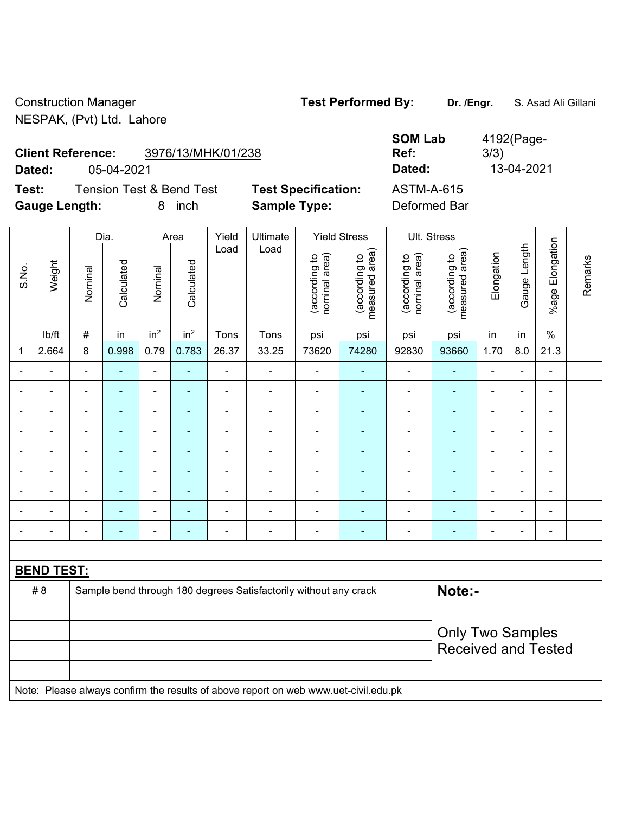Construction Manager **Test Performed By:** Dr. /Engr. **S. Asad Ali Gillani** NESPAK, (Pvt) Ltd. Lahore

**Test:** Tension Test & Bend Test **Test Specification: Gauge Length:** 8 inch **Sample Type:** Deformed Bar

| <b>Client Reference:</b> | 3976/13/MHK/01/238       |                            | <b>SOM Lab</b><br>Ref: | 4192(Page-<br>3/3) |
|--------------------------|--------------------------|----------------------------|------------------------|--------------------|
| Dated:                   | 05-04-2021               |                            | Dated:                 | 13-04-2021         |
| Test:                    | Tension Test & Bend Test | <b>Test Specification:</b> | ASTM-A-615             |                    |

|                |                   |                | Dia.           |                 | Area                                                  | Yield          | Ultimate                                                                            |                                | <b>Yield Stress</b>             |                                | Ult. Stress                     |                |                |                 |         |
|----------------|-------------------|----------------|----------------|-----------------|-------------------------------------------------------|----------------|-------------------------------------------------------------------------------------|--------------------------------|---------------------------------|--------------------------------|---------------------------------|----------------|----------------|-----------------|---------|
| S.No.          | Weight            | Nominal        | Calculated     | Nominal         | Calculated                                            | Load           | Load                                                                                | (according to<br>nominal area) | (according to<br>measured area) | (according to<br>nominal area) | (according to<br>measured area) | Elongation     | Gauge Length   | %age Elongation | Remarks |
|                | lb/ft             | $\#$           | in             | in <sup>2</sup> | in <sup>2</sup>                                       | Tons           | Tons                                                                                | psi                            | psi                             | psi                            | psi                             | in             | in             | $\%$            |         |
| 1              | 2.664             | 8              | 0.998          | 0.79            | 0.783                                                 | 26.37          | 33.25                                                                               | 73620                          | 74280                           | 92830                          | 93660                           | 1.70           | 8.0            | 21.3            |         |
|                |                   | $\blacksquare$ | ä,             | $\blacksquare$  | $\blacksquare$                                        | ÷,             | L,                                                                                  | $\blacksquare$                 | $\blacksquare$                  | $\blacksquare$                 | $\blacksquare$                  | L,             | $\blacksquare$ | $\frac{1}{2}$   |         |
|                | $\blacksquare$    | $\blacksquare$ | $\blacksquare$ | $\blacksquare$  | ÷                                                     | ä,             | ÷                                                                                   | $\overline{\phantom{a}}$       | $\blacksquare$                  | $\blacksquare$                 | $\blacksquare$                  | $\blacksquare$ | $\blacksquare$ | $\blacksquare$  |         |
|                |                   |                | $\blacksquare$ | $\blacksquare$  | ٠                                                     | ä,             | $\blacksquare$                                                                      | $\blacksquare$                 | ٠                               | $\blacksquare$                 | $\blacksquare$                  | $\blacksquare$ |                | $\blacksquare$  |         |
| $\blacksquare$ |                   |                |                | ÷               |                                                       | $\blacksquare$ | $\blacksquare$                                                                      | ä,                             | ÷                               | $\overline{\phantom{0}}$       |                                 | $\blacksquare$ |                | ä,              |         |
| $\blacksquare$ |                   | $\blacksquare$ | ٠              | ÷               |                                                       | ä,             | $\blacksquare$                                                                      | ä,                             | ÷                               | $\blacksquare$                 | $\blacksquare$                  | $\blacksquare$ |                | $\blacksquare$  |         |
| $\overline{a}$ |                   | $\blacksquare$ | $\blacksquare$ | ÷               | ÷                                                     | $\overline{a}$ | $\blacksquare$                                                                      | $\blacksquare$                 | ۰                               | $\overline{\phantom{0}}$       | $\blacksquare$                  | $\blacksquare$ | $\blacksquare$ | $\blacksquare$  |         |
| $\blacksquare$ |                   | $\blacksquare$ | $\blacksquare$ | ä,              | ٠                                                     | $\blacksquare$ | ÷,                                                                                  | ä,                             | ۰                               | $\blacksquare$                 | ٠                               | $\blacksquare$ | $\blacksquare$ | $\frac{1}{2}$   |         |
| $\blacksquare$ |                   | $\blacksquare$ | $\blacksquare$ | -               | ÷                                                     |                | ÷                                                                                   | L,                             | ۰                               | $\overline{\phantom{0}}$       | $\blacksquare$                  | $\blacksquare$ |                | $\blacksquare$  |         |
| $\blacksquare$ |                   | $\blacksquare$ | $\blacksquare$ | ÷,              | ÷                                                     | $\blacksquare$ | ÷                                                                                   | L,                             | ۰                               | $\blacksquare$                 | ٠                               | $\blacksquare$ |                | $\frac{1}{2}$   |         |
|                |                   |                |                |                 |                                                       |                |                                                                                     |                                |                                 |                                |                                 |                |                |                 |         |
|                | <b>BEND TEST:</b> |                |                |                 |                                                       |                |                                                                                     |                                |                                 |                                |                                 |                |                |                 |         |
|                | # 8               |                |                |                 |                                                       |                | Sample bend through 180 degrees Satisfactorily without any crack                    |                                |                                 |                                | Note:-                          |                |                |                 |         |
|                |                   |                |                |                 |                                                       |                |                                                                                     |                                |                                 |                                |                                 |                |                |                 |         |
|                |                   |                |                |                 | <b>Only Two Samples</b><br><b>Received and Tested</b> |                |                                                                                     |                                |                                 |                                |                                 |                |                |                 |         |
|                |                   |                |                |                 |                                                       |                | Note: Please always confirm the results of above report on web www.uet-civil.edu.pk |                                |                                 |                                |                                 |                |                |                 |         |